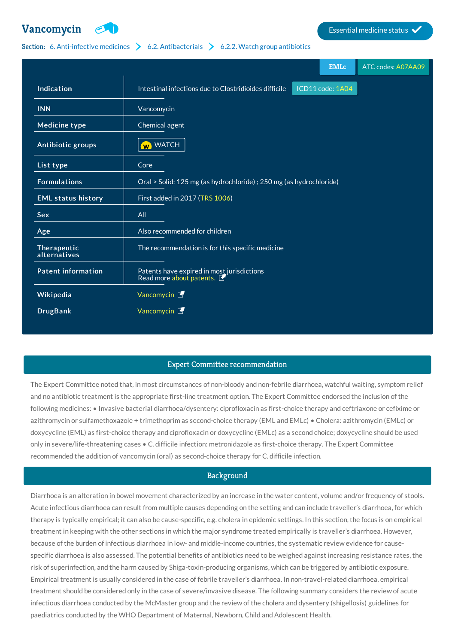

# Section: 6. [Anti-infective](http://list.essentialmeds.org/?section=332) medicines  $\geq 6.2$ . [Antibacterials](http://list.essentialmeds.org/?section=337)  $\geq 6.2.2$ . Watch group [antibiotics](http://list.essentialmeds.org/?section=339)

|                             |                                                                        | <b>EMLc</b>      | ATC codes: A07AA09 |
|-----------------------------|------------------------------------------------------------------------|------------------|--------------------|
| Indication                  | Intestinal infections due to Clostridioides difficile                  | ICD11 code: 1A04 |                    |
| <b>INN</b>                  | Vancomycin                                                             |                  |                    |
| Medicine type               | Chemical agent                                                         |                  |                    |
| Antibiotic groups           | <b>W</b> WATCH                                                         |                  |                    |
| List type                   | Core                                                                   |                  |                    |
| <b>Formulations</b>         | Oral > Solid: 125 mg (as hydrochloride) ; 250 mg (as hydrochloride)    |                  |                    |
| <b>EML status history</b>   | First added in 2017 (TRS 1006)                                         |                  |                    |
| Sex                         | All                                                                    |                  |                    |
| Age                         | Also recommended for children                                          |                  |                    |
| Therapeutic<br>alternatives | The recommendation is for this specific medicine                       |                  |                    |
| <b>Patent information</b>   | Patents have expired in most jurisdictions<br>Read more about patents. |                  |                    |
| Wikipedia                   | Vancomycin L                                                           |                  |                    |
| <b>DrugBank</b>             | Vancomycin L                                                           |                  |                    |
|                             |                                                                        |                  |                    |

## Expert Committee recommendation

The Expert Committee noted that, in most circumstances of non-bloody and non-febrile diarrhoea, watchful waiting, symptom relief and no antibiotic treatment is the appropriate first-line treatment option. The Expert Committee endorsed the inclusion of the following medicines: • Invasive bacterial diarrhoea/dysentery: ciprofloxacin as first-choice therapy and ceftriaxone or cefixime or azithromycin or sulfamethoxazole + trimethoprim as second-choice therapy (EML and EMLc) • Cholera: azithromycin (EMLc) or doxycycline (EML) as first-choice therapy and ciprofloxacin or doxycycline (EMLc) as a second choice; doxycycline should be used only in severe/life-threatening cases • C. difficile infection: metronidazole as first-choice therapy. The Expert Committee recommended the addition of vancomycin (oral) as second-choice therapy for C. difficile infection.

## **Background**

Diarrhoea is an alteration in bowel movement characterized by an increase in the water content, volume and/or frequency of stools. Acute infectious diarrhoea can result from multiple causes depending on the setting and can include traveller's diarrhoea, for which therapy is typically empirical; it can also be cause-specific, e.g. cholera in epidemic settings. In this section, the focus is on empirical treatment in keeping with the other sections in which the major syndrome treated empirically is traveller's diarrhoea. However, because of the burden of infectious diarrhoea in low- and middle-income countries, the systematic review evidence for causespecific diarrhoea is also assessed. The potential benefits of antibiotics need to be weighed against increasing resistance rates, the risk of superinfection, and the harm caused by Shiga-toxin-producing organisms, which can be triggered by antibiotic exposure. Empirical treatment is usually considered in the case of febrile traveller's diarrhoea. In non-travel-related diarrhoea, empirical treatment should be considered only in the case of severe/invasive disease. The following summary considers the review of acute infectious diarrhoea conducted by the McMaster group and the review of the cholera and dysentery (shigellosis) guidelines for paediatrics conducted by the WHO Department of Maternal, Newborn, Child and Adolescent Health.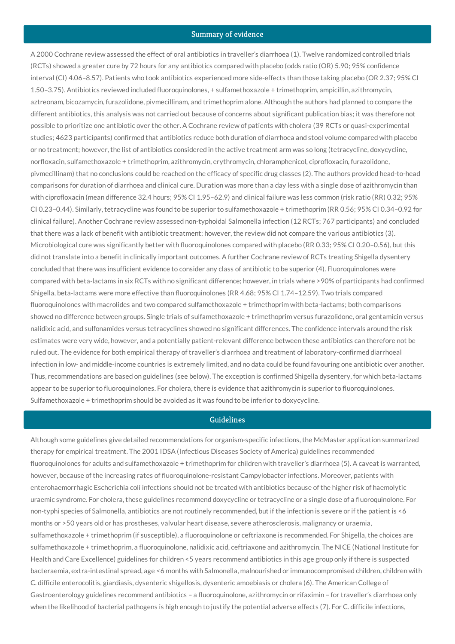#### Summary of evidence

A 2000 Cochrane review assessed the effect of oral antibiotics in traveller's diarrhoea (1). Twelve randomized controlled trials (RCTs) showed a greater cure by 72 hours for any antibiotics compared with placebo (odds ratio (OR) 5.90; 95% confidence interval (CI) 4.06–8.57). Patients who took antibiotics experienced more side-effects than those taking placebo (OR 2.37; 95% CI 1.50–3.75). Antibiotics reviewed included fluoroquinolones, + sulfamethoxazole + trimethoprim, ampicillin, azithromycin, aztreonam, bicozamycin, furazolidone, pivmecillinam, and trimethoprim alone. Although the authors had planned to compare the different antibiotics, this analysis was not carried out because of concerns about significant publication bias; it was therefore not possible to prioritize one antibiotic over the other. A Cochrane review of patients with cholera (39 RCTs or quasi-experimental studies; 4623 participants) confirmed that antibiotics reduce both duration of diarrhoea and stool volume compared with placebo or no treatment; however, the list of antibiotics considered in the active treatment arm was so long (tetracycline, doxycycline, norfloxacin, sulfamethoxazole + trimethoprim, azithromycin, erythromycin, chloramphenicol, ciprofloxacin, furazolidone, pivmecillinam) that no conclusions could be reached on the efficacy of specific drug classes (2). The authors provided head-to-head comparisons for duration of diarrhoea and clinical cure. Duration was more than a day less with a single dose of azithromycin than with ciprofloxacin (mean difference 32.4 hours; 95% CI 1.95–62.9) and clinical failure was less common (risk ratio (RR) 0.32; 95% CI 0.23–0.44). Similarly, tetracycline was found to be superior to sulfamethoxazole + trimethoprim (RR 0.56; 95% CI 0.34–0.92 for clinical failure). Another Cochrane review assessed non-typhoidal Salmonella infection (12 RCTs; 767 participants) and concluded that there was a lack of benefit with antibiotic treatment; however, the review did not compare the various antibiotics (3). Microbiological cure was significantly better with fluoroquinolones compared with placebo (RR 0.33; 95% CI 0.20–0.56), but this did not translate into a benefit in clinically important outcomes. A further Cochrane review of RCTs treating Shigella dysentery concluded that there was insufficient evidence to consider any class of antibiotic to be superior (4). Fluoroquinolones were compared with beta-lactams in six RCTs with no significant difference; however, in trials where >90% of participants had confirmed Shigella, beta-lactams were more effective than fluoroquinolones (RR 4.68; 95% CI 1.74–12.59). Two trials compared fluoroquinolones with macrolides and two compared sulfamethoxazole + trimethoprim with beta-lactams; both comparisons showed no difference between groups. Single trials of sulfamethoxazole + trimethoprim versus furazolidone, oral gentamicin versus nalidixic acid, and sulfonamides versus tetracyclines showed no significant differences. The confidence intervals around the risk estimates were very wide, however, and a potentially patient-relevant difference between these antibiotics can therefore not be ruled out. The evidence for both empirical therapy of traveller's diarrhoea and treatment of laboratory-confirmed diarrhoeal infection in low- and middle-income countries is extremely limited, and no data could be found favouring one antibiotic over another. Thus, recommendations are based on guidelines (see below). The exception is confirmed Shigella dysentery, for which beta-lactams appear to be superior to fluoroquinolones. For cholera, there is evidence that azithromycin is superior to fluoroquinolones. Sulfamethoxazole + trimethoprim should be avoided as it was found to be inferior to doxycycline.

#### Guidelines

Although some guidelines give detailed recommendations for organism-specific infections, the McMaster application summarized therapy for empirical treatment. The 2001 IDSA (Infectious Diseases Society of America) guidelines recommended fluoroquinolones for adults and sulfamethoxazole + trimethoprim for children with traveller's diarrhoea (5). A caveat is warranted, however, because of the increasing rates of fluoroquinolone-resistant Campylobacter infections. Moreover, patients with enterohaemorrhagic Escherichia coli infections should not be treated with antibiotics because of the higher risk of haemolytic uraemic syndrome. For cholera, these guidelines recommend doxycycline or tetracycline or a single dose of a fluoroquinolone. For non-typhi species of Salmonella, antibiotics are not routinely recommended, but if the infection is severe or if the patient is <6 months or >50 years old or has prostheses, valvular heart disease, severe atherosclerosis, malignancy or uraemia, sulfamethoxazole + trimethoprim (if susceptible), a fluoroquinolone or ceftriaxone is recommended. For Shigella, the choices are sulfamethoxazole + trimethoprim, a fluoroquinolone, nalidixic acid, ceftriaxone and azithromycin. The NICE (National Institute for Health and Care Excellence) guidelines for children <5 years recommend antibiotics in this age group only if there is suspected bacteraemia, extra-intestinal spread, age <6 months with Salmonella, malnourished or immunocompromised children, children with C. difficile enterocolitis, giardiasis, dysenteric shigellosis, dysenteric amoebiasis or cholera (6). The American College of Gastroenterology guidelines recommend antibiotics – a fluoroquinolone, azithromycin or rifaximin – for traveller's diarrhoea only when the likelihood of bacterial pathogens is high enough to justify the potential adverse effects (7). For C. difficile infections,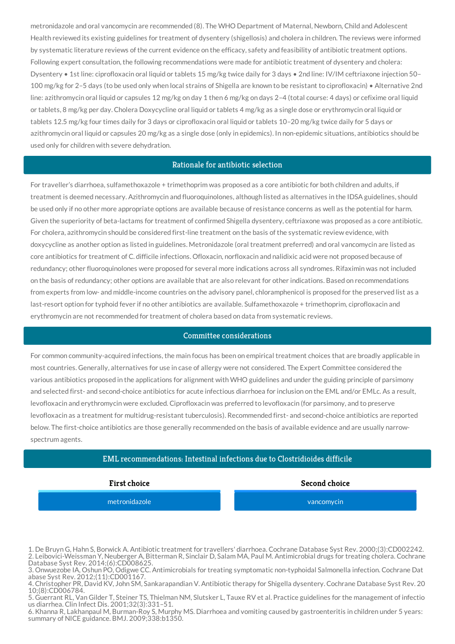metronidazole and oral vancomycin are recommended (8). The WHO Department of Maternal, Newborn, Child and Adolescent Health reviewed its existing guidelines for treatment of dysentery (shigellosis) and cholera in children. The reviews were informed by systematic literature reviews of the current evidence on the efficacy, safety and feasibility of antibiotic treatment options. Following expert consultation, the following recommendations were made for antibiotic treatment of dysentery and cholera: Dysentery • 1st line: ciprofloxacin oral liquid or tablets 15 mg/kg twice daily for 3 days • 2nd line: IV/IM ceftriaxone injection 50– 100 mg/kg for 2–5 days (to be used only when local strains of Shigella are known to be resistant to ciprofloxacin) • Alternative 2nd line: azithromycin oral liquid or capsules 12 mg/kg on day 1 then 6 mg/kg on days 2–4 (total course: 4 days) or cefixime oral liquid or tablets, 8 mg/kg per day. Cholera Doxycycline oral liquid or tablets 4 mg/kg as a single dose or erythromycin oral liquid or tablets 12.5 mg/kg four times daily for 3 days or ciprofloxacin oral liquid or tablets 10–20 mg/kg twice daily for 5 days or azithromycin oral liquid or capsules 20 mg/kg as a single dose (only in epidemics). In non-epidemic situations, antibiotics should be used only for children with severe dehydration.

#### Rationale for antibiotic selection

For traveller's diarrhoea, sulfamethoxazole + trimethoprim was proposed as a core antibiotic for both children and adults, if treatment is deemed necessary. Azithromycin and fluoroquinolones, although listed as alternatives in the IDSA guidelines, should be used only if no other more appropriate options are available because of resistance concerns as well as the potential for harm. Given the superiority of beta-lactams for treatment of confirmed Shigella dysentery, ceftriaxone was proposed as a core antibiotic. For cholera, azithromycin should be considered first-line treatment on the basis of the systematic review evidence, with doxycycline as another option as listed in guidelines. Metronidazole (oral treatment preferred) and oral vancomycin are listed as core antibiotics for treatment of C. difficile infections. Ofloxacin, norfloxacin and nalidixic acid were not proposed because of redundancy; other fluoroquinolones were proposed for several more indications across all syndromes. Rifaximin was not included on the basis of redundancy; other options are available that are also relevant for other indications. Based on recommendations from experts from low- and middle-income countries on the advisory panel, chloramphenicol is proposed for the preserved list as a last-resort option for typhoid fever if no other antibiotics are available. Sulfamethoxazole + trimethoprim, ciprofloxacin and erythromycin are not recommended for treatment of cholera based on data from systematic reviews.

## Committee considerations

For common community-acquired infections, the main focus has been on empirical treatment choices that are broadly applicable in most countries. Generally, alternatives for use in case of allergy were not considered. The Expert Committee considered the various antibiotics proposed in the applications for alignment with WHO guidelines and under the guiding principle of parsimony and selected first- and second-choice antibiotics for acute infectious diarrhoea for inclusion on the EML and/or EMLc. As a result, levofloxacin and erythromycin were excluded. Ciprofloxacin was preferred to levofloxacin (for parsimony, and to preserve levofloxacin as a treatment for multidrug-resistant tuberculosis). Recommended first- and second-choice antibiotics are reported below. The first-choice antibiotics are those generally recommended on the basis of available evidence and are usually narrowspectrum agents.

## EML recommendations: Intestinal infections due to Clostridioides difficile

[metronidazole](http://list.essentialmeds.org/recommendations/696) [vancomycin](http://list.essentialmeds.org/recommendations/679)

**First choice Second choice**

1. De Bruyn G, Hahn S, Borwick A. Antibiotic treatment for travellers' diarrhoea. Cochrane Database Syst Rev. 2000;(3):CD002242. 2. Leibovici-Weissman Y, Neuberger A, Bitterman R, Sinclair D, Salam MA, Paul M. Antimicrobial drugs for treating cholera. Cochrane Database Syst Rev. 2014;(6):CD008625.

3. Onwuezobe IA, Oshun PO, Odigwe CC. Antimicrobials for treating symptomatic non-typhoidal Salmonella infection. Cochrane Dat abase Syst Rev. 2012;(11):CD001167.

4. Christopher PR, David KV, John SM, Sankarapandian V. Antibiotic therapy for Shigella dysentery. Cochrane Database Syst Rev. 20 10;(8):CD006784.

5. Guerrant RL, Van Gilder T, Steiner TS, Thielman NM, Slutsker L, Tauxe RV et al. Practice guidelines for the management of infectio us diarrhea. Clin Infect Dis. 2001;32(3):331–51.

6. Khanna R, Lakhanpaul M, Burman-Roy S, Murphy MS. Diarrhoea and vomiting caused by gastroenteritis in children under 5 years: summary of NICE guidance. BMJ. 2009;338:b1350.